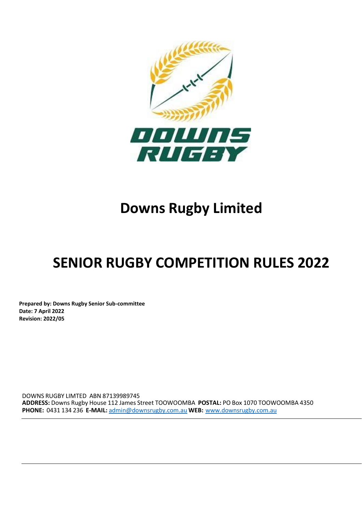

# **Downs Rugby Limited**

# **SENIOR RUGBY COMPETITION RULES 2022**

**Prepared by: Downs Rugby Senior Sub-committee Date: 7 April 2022 Revision: 2022/05**

DOWNS RUGBY LIMTED ABN 87139989745 **ADDRESS:** Downs Rugby House 112 James Street TOOWOOMBA **POSTAL:** PO Box 1070 TOOWOOMBA 4350 **PHONE:** 0431 134 236 **E-MAIL:** [admin@downsrugby.com.au](mailto:admin@downsrugby.com.au) **WEB:** [www.downsrugby.com.au](http://www.downsrugby.com.au/)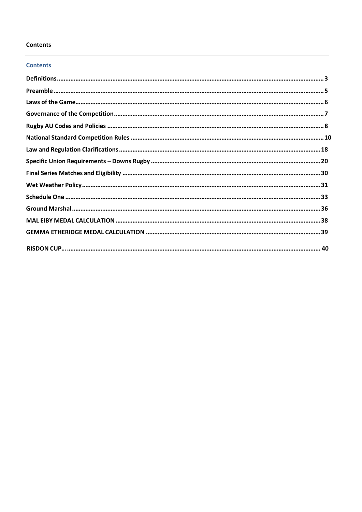## **Contents**

## **Contents**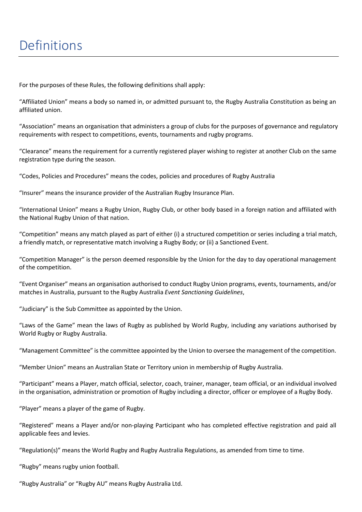<span id="page-2-0"></span>For the purposes of these Rules, the following definitions shall apply:

"Affiliated Union" means a body so named in, or admitted pursuant to, the Rugby Australia Constitution as being an affiliated union.

"Association" means an organisation that administers a group of clubs for the purposes of governance and regulatory requirements with respect to competitions, events, tournaments and rugby programs.

"Clearance" means the requirement for a currently registered player wishing to register at another Club on the same registration type during the season.

"Codes, Policies and Procedures" means the codes, policies and procedures of Rugby Australia

"Insurer" means the insurance provider of the Australian Rugby Insurance Plan.

"International Union" means a Rugby Union, Rugby Club, or other body based in a foreign nation and affiliated with the National Rugby Union of that nation.

"Competition" means any match played as part of either (i) a structured competition or series including a trial match, a friendly match, or representative match involving a Rugby Body; or (ii) a Sanctioned Event.

"Competition Manager" is the person deemed responsible by the Union for the day to day operational management of the competition.

"Event Organiser" means an organisation authorised to conduct Rugby Union programs, events, tournaments, and/or matches in Australia, pursuant to the Rugby Australia *Event Sanctioning Guidelines*,

"Judiciary" is the Sub Committee as appointed by the Union.

"Laws of the Game" mean the laws of Rugby as published by World Rugby, including any variations authorised by World Rugby or Rugby Australia.

"Management Committee" is the committee appointed by the Union to oversee the management of the competition.

"Member Union" means an Australian State or Territory union in membership of Rugby Australia.

"Participant" means a Player, match official, selector, coach, trainer, manager, team official, or an individual involved in the organisation, administration or promotion of Rugby including a director, officer or employee of a Rugby Body.

"Player" means a player of the game of Rugby.

"Registered" means a Player and/or non-playing Participant who has completed effective registration and paid all applicable fees and levies.

"Regulation(s)" means the World Rugby and Rugby Australia Regulations, as amended from time to time.

"Rugby" means rugby union football.

"Rugby Australia" or "Rugby AU" means Rugby Australia Ltd.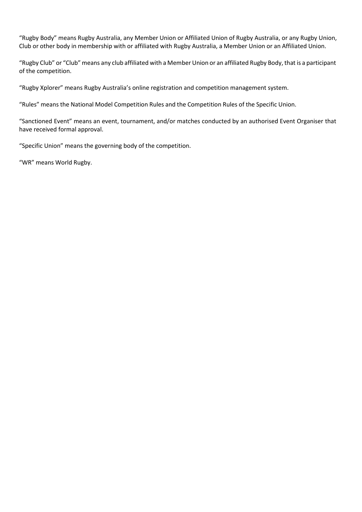"Rugby Body" means Rugby Australia, any Member Union or Affiliated Union of Rugby Australia, or any Rugby Union, Club or other body in membership with or affiliated with Rugby Australia, a Member Union or an Affiliated Union.

"Rugby Club" or "Club" means any club affiliated with a Member Union or an affiliated Rugby Body, that is a participant of the competition.

"Rugby Xplorer" means Rugby Australia's online registration and competition management system.

"Rules" means the National Model Competition Rules and the Competition Rules of the Specific Union.

"Sanctioned Event" means an event, tournament, and/or matches conducted by an authorised Event Organiser that have received formal approval.

"Specific Union" means the governing body of the competition.

"WR" means World Rugby.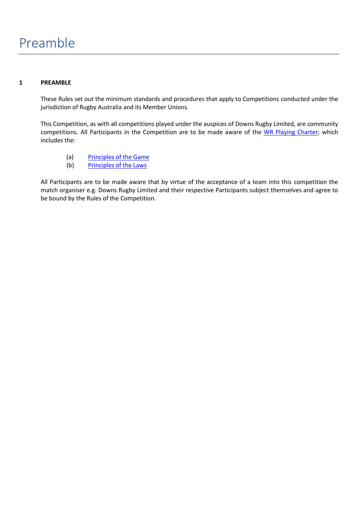## <span id="page-4-0"></span>**1 PREAMBLE**

These Rules set out the minimum standards and procedures that apply to Competitions conducted under the jurisdiction of Rugby Australia and its Member Unions.

This Competition, as with all competitions played under the auspices of Downs Rugby Limited, are community competitions. All Participants in the Competition are to be made aware of the WR Playing Charter; which includes the:

- (a) Principles of the Game
- (b) Principles of the Laws

All Participants are to be made aware that by virtue of the acceptance of a team into this competition the match organiser e.g. Downs Rugby Limited and their respective Participants subject themselves and agree to be bound by the Rules of the Competition.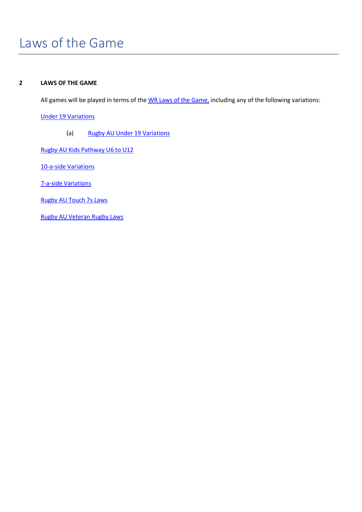# <span id="page-5-0"></span>Laws of the Game

## **2 LAWS OF THE GAME**

All games will be played in terms of the WR Laws of the Game, including any of the following variations:

Under 19 Variations

(a) Rugby AU Under 19 Variations

Rugby AU Kids Pathway U6 to U12

10-a-side Variations

7-a-side Variations

Rugby AU Touch 7s Laws

Rugby AU Veteran Rugby Laws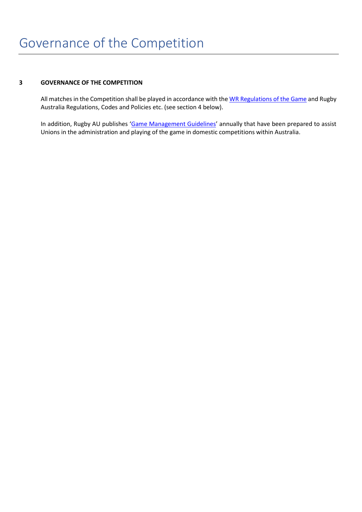## <span id="page-6-0"></span>**3 GOVERNANCE OF THE COMPETITION**

All matches in the Competition shall be played in accordance with the WR Regulations of the Game and Rugby Australia Regulations, Codes and Policies etc. (see section 4 below).

In addition, Rugby AU publishes 'Game Management Guidelines' annually that have been prepared to assist Unions in the administration and playing of the game in domestic competitions within Australia.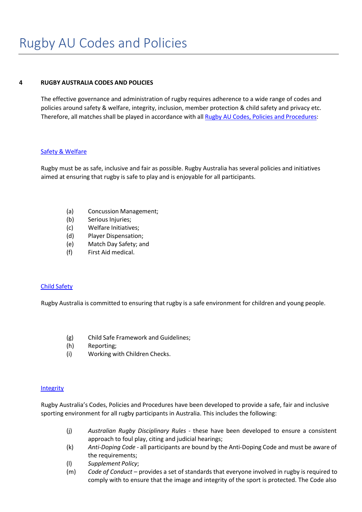## <span id="page-7-0"></span>**4 RUGBY AUSTRALIA CODES AND POLICIES**

The effective governance and administration of rugby requires adherence to a wide range of codes and policies around safety & welfare, integrity, inclusion, member protection & child safety and privacy etc. Therefore, all matches shall be played in accordance with all Rugby AU Codes, Policies and Procedures:

## Safety & Welfare

Rugby must be as safe, inclusive and fair as possible. Rugby Australia has several policies and initiatives aimed at ensuring that rugby is safe to play and is enjoyable for all participants.

- (a) Concussion Management;
- (b) Serious Injuries;
- (c) Welfare Initiatives;
- (d) Player Dispensation;
- (e) Match Day Safety; and
- (f) First Aid medical.

## Child Safety

Rugby Australia is committed to ensuring that rugby is a safe environment for children and young people.

- (g) Child Safe Framework and Guidelines;
- (h) Reporting;
- (i) Working with Children Checks.

## **Integrity**

Rugby Australia's Codes, Policies and Procedures have been developed to provide a safe, fair and inclusive sporting environment for all rugby participants in Australia. This includes the following:

- (j) *Australian Rugby Disciplinary Rules* these have been developed to ensure a consistent approach to foul play, citing and judicial hearings;
- (k) *Anti-Doping Code* all participants are bound by the Anti-Doping Code and must be aware of the requirements;
- (l) *Supplement Policy*;
- (m) *Code of Conduct*  provides a set of standards that everyone involved in rugby is required to comply with to ensure that the image and integrity of the sport is protected. The Code also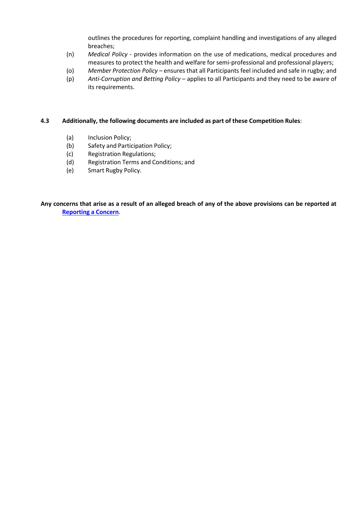outlines the procedures for reporting, complaint handling and investigations of any alleged breaches;

- (n) *Medical Policy* provides information on the use of medications, medical procedures and measures to protect the health and welfare forsemi-professional and professional players;
- (o) *Member Protection Policy* ensures that all Participants feel included and safe in rugby; and
- (p) *Anti-Corruption and Betting Policy*  applies to all Participants and they need to be aware of its requirements.

## **4.3 Additionally, the following documents are included as part of these Competition Rules**:

- (a) Inclusion Policy;
- (b) Safety and Participation Policy;
- (c) Registration Regulations;
- (d) Registration Terms and Conditions; and
- (e) Smart Rugby Policy.

Any concerns that arise as a result of an alleged breach of any of the above provisions can be reported at **Reporting a Concern**.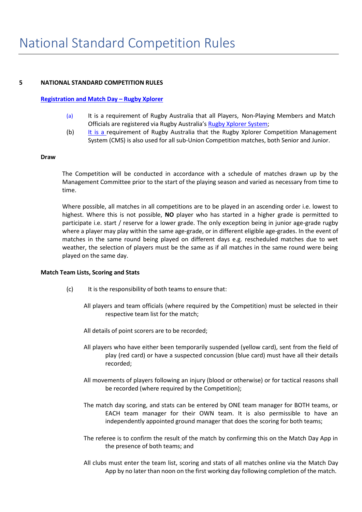#### <span id="page-9-0"></span>**5 NATIONAL STANDARD COMPETITION RULES**

#### **Registration and Match Day – Rugby Xplorer**

- (a) It is a requirement of Rugby Australia that all Players, Non-Playing Members and Match Officials are registered via Rugby Australia's Rugby Xplorer System;
- (b) It is a requirement of Rugby Australia that the Rugby Xplorer Competition Management System (CMS) is also used for all sub-Union Competition matches, both Senior and Junior.

#### **Draw**

The Competition will be conducted in accordance with a schedule of matches drawn up by the Management Committee prior to the start of the playing season and varied as necessary from time to time.

Where possible, all matches in all competitions are to be played in an ascending order i.e. lowest to highest. Where this is not possible, **NO** player who has started in a higher grade is permitted to participate i.e. start / reserve for a lower grade. The only exception being in junior age-grade rugby where a player may play within the same age-grade, or in different eligible age-grades. In the event of matches in the same round being played on different days e.g. rescheduled matches due to wet weather, the selection of players must be the same as if all matches in the same round were being played on the same day.

#### **Match Team Lists, Scoring and Stats**

- (c) It is the responsibility of both teams to ensure that:
	- All players and team officials (where required by the Competition) must be selected in their respective team list for the match;
	- All details of point scorers are to be recorded;
	- All players who have either been temporarily suspended (yellow card), sent from the field of play (red card) or have a suspected concussion (blue card) must have all their details recorded;
	- All movements of players following an injury (blood or otherwise) or for tactical reasons shall be recorded (where required by the Competition);
	- The match day scoring, and stats can be entered by ONE team manager for BOTH teams, or EACH team manager for their OWN team. It is also permissible to have an independently appointed ground manager that does the scoring for both teams;
	- The referee is to confirm the result of the match by confirming this on the Match Day App in the presence of both teams; and
	- All clubs must enter the team list, scoring and stats of all matches online via the Match Day App by no later than noon on the first working day following completion of the match.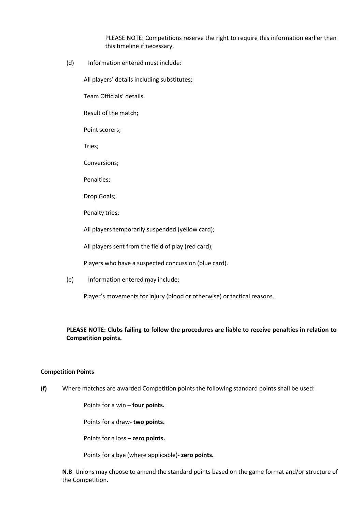PLEASE NOTE: Competitions reserve the right to require this information earlier than this timeline if necessary.

(d) Information entered must include:

All players' details including substitutes;

Team Officials' details

Result of the match;

Point scorers;

Tries;

Conversions;

Penalties;

Drop Goals;

Penalty tries;

All players temporarily suspended (yellow card);

All players sent from the field of play (red card);

Players who have a suspected concussion (blue card).

(e) Information entered may include:

Player's movements for injury (blood or otherwise) or tactical reasons.

## **PLEASE NOTE: Clubs failing to follow the procedures are liable to receive penalties in relation to Competition points.**

#### **Competition Points**

**(f)** Where matches are awarded Competition points the following standard points shall be used:

Points for a win – **four points.**

Points for a draw- **two points.**

Points for a loss – **zero points.**

Points for a bye (where applicable)- **zero points.**

**N.B**. Unions may choose to amend the standard points based on the game format and/or structure of the Competition.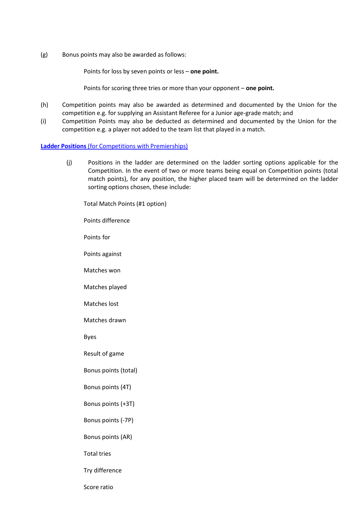(g) Bonus points may also be awarded as follows:

Points for loss by seven points or less – **one point.**

Points for scoring three tries or more than your opponent – **one point.**

- (h) Competition points may also be awarded as determined and documented by the Union for the competition e.g. for supplying an Assistant Referee for a Junior age-grade match; and
- (i) Competition Points may also be deducted as determined and documented by the Union for the competition e.g. a player not added to the team list that played in a match.

#### **Ladder Positions** (for Competitions with Premierships)

(j) Positions in the ladder are determined on the ladder sorting options applicable for the Competition. In the event of two or more teams being equal on Competition points (total match points), for any position, the higher placed team will be determined on the ladder sorting options chosen, these include:

Total Match Points (#1 option)

Points difference

Points for

Points against

Matches won

Matches played

Matches lost

Matches drawn

Byes

Result of game

Bonus points (total)

Bonus points (4T)

Bonus points (+3T)

Bonus points (-7P)

Bonus points (AR)

Total tries

Try difference

Score ratio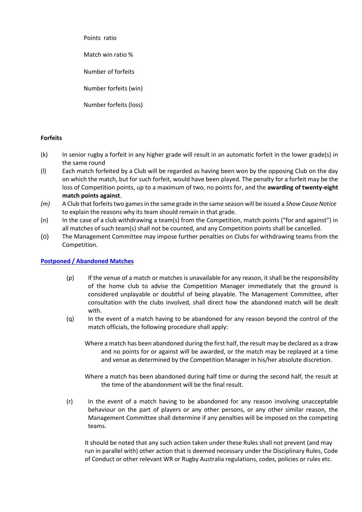Points ratio

Match win ratio %

Number of forfeits

Number forfeits (win)

Number forfeits (loss)

## **Forfeits**

- (k) In senior rugby a forfeit in any higher grade will result in an automatic forfeit in the lower grade(s) in the same round
- (l) Each match forfeited by a Club will be regarded as having been won by the opposing Club on the day on which the match, but for such forfeit, would have been played. The penalty for a forfeit may be the loss of Competition points, up to a maximum of two, no points for, and the **awarding of twenty-eight match points against**.
- *(m)* A Club that forfeitstwo gamesin the same grade in the same season will be issued a *Show Cause Notice* to explain the reasons why its team should remain in that grade.
- (n) In the case of a club withdrawing a team(s) from the Competition, match points ("for and against") in all matches of such team(s) shall not be counted, and any Competition points shall be cancelled.
- (o) The Management Committee may impose further penalties on Clubs for withdrawing teams from the Competition.

## **Postponed / Abandoned Matches**

- (p) If the venue of a match or matches is unavailable for any reason, it shall be the responsibility of the home club to advise the Competition Manager immediately that the ground is considered unplayable or doubtful of being playable. The Management Committee, after consultation with the clubs involved, shall direct how the abandoned match will be dealt with.
- (q) In the event of a match having to be abandoned for any reason beyond the control of the match officials, the following procedure shall apply:

Where a match has been abandoned during the first half, the result may be declared as a draw and no points for or against will be awarded, or the match may be replayed at a time and venue as determined by the Competition Manager in his/her absolute discretion.

Where a match has been abandoned during half time or during the second half, the result at the time of the abandonment will be the final result.

(r) In the event of a match having to be abandoned for any reason involving unacceptable behaviour on the part of players or any other persons, or any other similar reason, the Management Committee shall determine if any penalties will be imposed on the competing teams.

It should be noted that any such action taken under these Rules shall not prevent (and may run in parallel with) other action that is deemed necessary under the Disciplinary Rules, Code of Conduct or other relevant WR or Rugby Australia regulations, codes, policies or rules etc.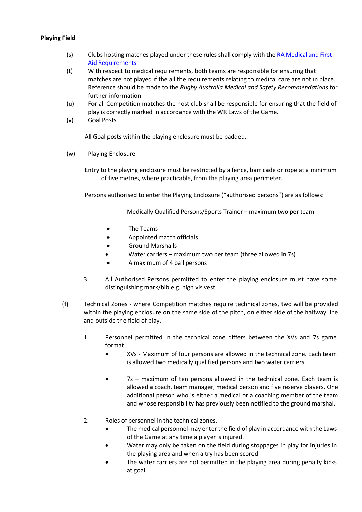## **Playing Field**

- (s) Clubs hosting matches played under these rules shall comply with the RA Medical and First Aid Requirements
- (t) With respect to medical requirements, both teams are responsible for ensuring that matches are not played if the all the requirements relating to medical care are not in place. Reference should be made to the *Rugby Australia Medical and Safety Recommendations* for further information.
- (u) For all Competition matches the host club shall be responsible for ensuring that the field of play is correctly marked in accordance with the WR Laws of the Game.
- (v) Goal Posts

All Goal posts within the playing enclosure must be padded.

(w) Playing Enclosure

Entry to the playing enclosure must be restricted by a fence, barricade or rope at a minimum of five metres, where practicable, from the playing area perimeter.

Persons authorised to enter the Playing Enclosure ("authorised persons") are as follows:

Medically Qualified Persons/Sports Trainer – maximum two per team

- The Teams
- Appointed match officials
- Ground Marshalls
- Water carriers maximum two per team (three allowed in 7s)
- A maximum of 4 ball persons
- 3. All Authorised Persons permitted to enter the playing enclosure must have some distinguishing mark/bib e.g. high vis vest.
- (f) Technical Zones where Competition matches require technical zones, two will be provided within the playing enclosure on the same side of the pitch, on either side of the halfway line and outside the field of play.
	- 1. Personnel permitted in the technical zone differs between the XVs and 7s game format.
		- XVs Maximum of four persons are allowed in the technical zone. Each team is allowed two medically qualified persons and two water carriers.
		- 7s maximum of ten persons allowed in the technical zone. Each team is allowed a coach, team manager, medical person and five reserve players. One additional person who is either a medical or a coaching member of the team and whose responsibility has previously been notified to the ground marshal.
	- 2. Roles of personnel in the technical zones.
		- The medical personnel may enter the field of play in accordance with the Laws of the Game at any time a player is injured.
		- Water may only be taken on the field during stoppages in play for injuries in the playing area and when a try has been scored.
		- The water carriers are not permitted in the playing area during penalty kicks at goal.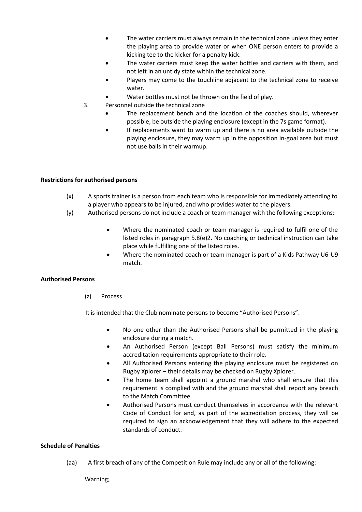- The water carriers must always remain in the technical zone unless they enter the playing area to provide water or when ONE person enters to provide a kicking tee to the kicker for a penalty kick.
- The water carriers must keep the water bottles and carriers with them, and not left in an untidy state within the technical zone.
- Players may come to the touchline adjacent to the technical zone to receive water.
- Water bottles must not be thrown on the field of play.
- 3. Personnel outside the technical zone
	- The replacement bench and the location of the coaches should, wherever possible, be outside the playing enclosure (except in the 7s game format).
	- If replacements want to warm up and there is no area available outside the playing enclosure, they may warm up in the opposition in-goal area but must not use balls in their warmup.

## **Restrictions for authorised persons**

- (x) A sports trainer is a person from each team who is responsible for immediately attending to a player who appears to be injured, and who provides water to the players.
- (y) Authorised persons do not include a coach or team manager with the following exceptions:
	- Where the nominated coach or team manager is required to fulfil one of the listed roles in paragraph 5.8(e)2. No coaching or technical instruction can take place while fulfilling one of the listed roles.
	- Where the nominated coach or team manager is part of a Kids Pathway U6-U9 match.

## **Authorised Persons**

(z) Process

It is intended that the Club nominate persons to become "Authorised Persons".

- No one other than the Authorised Persons shall be permitted in the playing enclosure during a match.
- An Authorised Person (except Ball Persons) must satisfy the minimum accreditation requirements appropriate to their role.
- All Authorised Persons entering the playing enclosure must be registered on Rugby Xplorer – their details may be checked on Rugby Xplorer.
- The home team shall appoint a ground marshal who shall ensure that this requirement is complied with and the ground marshal shall report any breach to the Match Committee.
- Authorised Persons must conduct themselves in accordance with the relevant Code of Conduct for and, as part of the accreditation process, they will be required to sign an acknowledgement that they will adhere to the expected standards of conduct.

## **Schedule of Penalties**

(aa) A first breach of any of the Competition Rule may include any or all of the following:

Warning;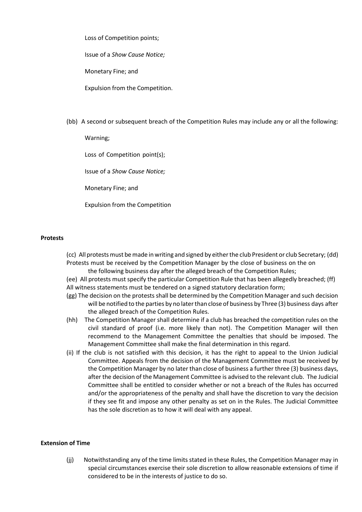Loss of Competition points;

Issue of a *Show Cause Notice;*

Monetary Fine; and

Expulsion from the Competition.

(bb) A second or subsequent breach of the Competition Rules may include any or all the following:

Warning;

Loss of Competition point(s);

Issue of a *Show Cause Notice;*

Monetary Fine; and

Expulsion from the Competition

#### **Protests**

(cc) All protests must be made in writing and signed by either the club President or club Secretary; (dd) Protests must be received by the Competition Manager by the close of business on the on the following business day after the alleged breach of the Competition Rules;

(ee) All protests must specify the particular Competition Rule that has been allegedly breached; (ff) All witness statements must be tendered on a signed statutory declaration form;

- (gg) The decision on the protests shall be determined by the Competition Manager and such decision will be notified to the parties by no later than close of business by Three (3) business days after the alleged breach of the Competition Rules.
- (hh) The Competition Manager shall determine if a club has breached the competition rules on the civil standard of proof (i.e. more likely than not). The Competition Manager will then recommend to the Management Committee the penalties that should be imposed. The Management Committee shall make the final determination in this regard.
- (ii) If the club is not satisfied with this decision, it has the right to appeal to the Union Judicial Committee. Appeals from the decision of the Management Committee must be received by the Competition Manager by no later than close of business a further three (3) business days, after the decision of the Management Committee is advised to the relevant club. The Judicial Committee shall be entitled to consider whether or not a breach of the Rules has occurred and/or the appropriateness of the penalty and shall have the discretion to vary the decision if they see fit and impose any other penalty as set on in the Rules. The Judicial Committee has the sole discretion as to how it will deal with any appeal.

## **Extension of Time**

(jj) Notwithstanding any of the time limits stated in these Rules, the Competition Manager may in special circumstances exercise their sole discretion to allow reasonable extensions of time if considered to be in the interests of justice to do so.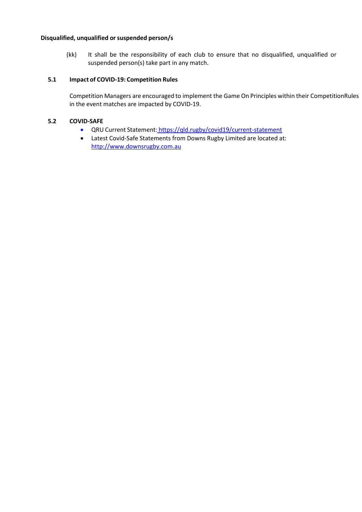## **Disqualified, unqualified orsuspended person/s**

(kk) It shall be the responsibility of each club to ensure that no disqualified, unqualified or suspended person(s) take part in any match.

## **5.1 Impact of COVID-19: Competition Rules**

Competition Managers are encouraged to implement the Game On Principles within their CompetitionRules in the event matches are impacted by COVID-19.

#### **5.2 COVID-SAFE**

- QRU Current Statement: https://qld.rugby/covid19/current-statement
- Latest Covid-Safe Statements from Downs Rugby Limited are located at: [http://www.downsrugby.com.au](http://www.downsrugby.com.au/)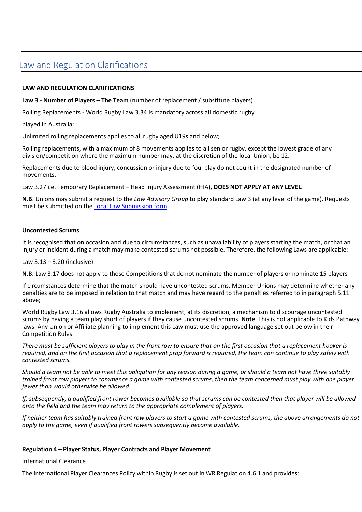## <span id="page-17-0"></span>Law and Regulation Clarifications

## **LAW AND REGULATION CLARIFICATIONS**

**Law 3 - Number of Players – The Team** (number of replacement / substitute players).

Rolling Replacements - World Rugby Law 3.34 is mandatory across all domestic rugby

played in Australia:

Unlimited rolling replacements applies to all rugby aged U19s and below;

Rolling replacements, with a maximum of 8 movements applies to all senior rugby, except the lowest grade of any division/competition where the maximum number may, at the discretion of the local Union, be 12.

Replacements due to blood injury, concussion or injury due to foul play do not count in the designated number of movements.

Law 3.27 i.e. Temporary Replacement – Head Injury Assessment (HIA), **DOES NOT APPLY AT ANY LEVEL.**

**N.B**. Unions may submit a request to the *Law Advisory Group* to play standard Law 3 (at any level of the game). Requests must be submitted on the Local Law Submission form.

## **Uncontested Scrums**

It is recognised that on occasion and due to circumstances, such as unavailability of players starting the match, or that an injury or incident during a match may make contested scrums not possible. Therefore, the following Laws are applicable:

#### Law 3.13 – 3.20 (inclusive)

**N.B.** Law 3.17 does not apply to those Competitions that do not nominate the number of players or nominate 15 players

If circumstances determine that the match should have uncontested scrums, Member Unions may determine whether any penalties are to be imposed in relation to that match and may have regard to the penalties referred to in paragraph 5.11 above;

World Rugby Law 3.16 allows Rugby Australia to implement, at its discretion, a mechanism to discourage uncontested scrums by having a team play short of players if they cause uncontested scrums. **Note**. This is not applicable to Kids Pathway laws. Any Union or Affiliate planning to implement this Law must use the approved language set out below in their Competition Rules:

*There must be sufficient players to play in the front row to ensure that on the first occasion that a replacement hooker is required, and on the first occasion that a replacement prop forward is required, the team can continue to play safely with contested scrums.*

*Should a team not be able to meet this obligation for any reason during a game, or should a team not have three suitably trained front row players to commence a game with contested scrums, then the team concerned must play with one player fewer than would otherwise be allowed.*

*If, subsequently, a qualified front rower becomes available so that scrums can be contested then that player will be allowed onto the field and the team may return to the appropriate complement of players.*

*If neither team has suitably trained front row players to start a game with contested scrums, the above arrangements do not apply to the game, even if qualified front rowers subsequently become available.*

#### **Regulation 4 – Player Status, Player Contracts and Player Movement**

International Clearance

The international Player Clearances Policy within Rugby is set out in WR Regulation 4.6.1 and provides: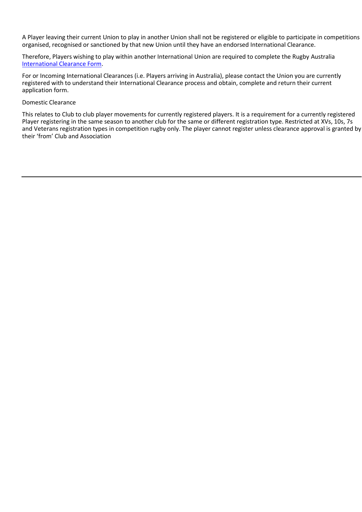A Player leaving their current Union to play in another Union shall not be registered or eligible to participate in competitions organised, recognised or sanctioned by that new Union until they have an endorsed International Clearance.

Therefore, Players wishing to play within another International Union are required to complete the Rugby Australia International Clearance Form.

For or Incoming International Clearances (i.e. Players arriving in Australia), please contact the Union you are currently registered with to understand their International Clearance process and obtain, complete and return their current application form.

#### Domestic Clearance

This relates to Club to club player movements for currently registered players. It is a requirement for a currently registered Player registering in the same season to another club for the same or different registration type. Restricted at XVs, 10s, 7s and Veterans registration types in competition rugby only. The player cannot register unless clearance approval is granted by their 'from' Club and Association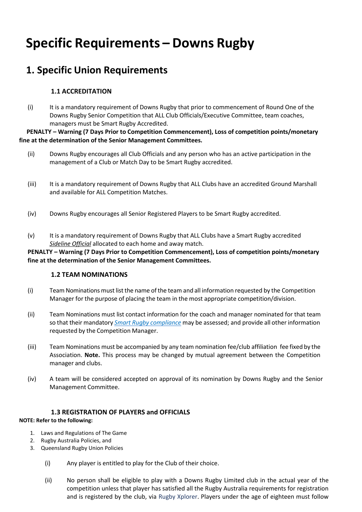# **Specific Requirements – Downs Rugby**

# **1. Specific Union Requirements**

## **1.1 ACCREDITATION**

(i) It is a mandatory requirement of Downs Rugby that prior to commencement of Round One of the Downs Rugby Senior Competition that ALL Club Officials/Executive Committee, team coaches, managers must be Smart Rugby Accredited.

**PENALTY – Warning (7 Days Prior to Competition Commencement), Loss of competition points/monetary fine at the determination of the Senior Management Committees.**

- (ii) Downs Rugby encourages all Club Officials and any person who has an active participation in the management of a Club or Match Day to be Smart Rugby accredited.
- (iii) It is a mandatory requirement of Downs Rugby that ALL Clubs have an accredited Ground Marshall and available for ALL Competition Matches.
- (iv) Downs Rugby encourages all Senior Registered Players to be Smart Rugby accredited.
- (v) It is a mandatory requirement of Downs Rugby that ALL Clubs have a Smart Rugby accredited *Sideline Official* allocated to each home and away match.

**PENALTY – Warning (7 Days Prior to Competition Commencement), Loss of competition points/monetary fine at the determination of the Senior Management Committees.**

## **1.2 TEAM NOMINATIONS**

- (i) Team Nominations must listthe name ofthe team and all information requested by the Competition Manager for the purpose of placing the team in the most appropriate competition/division.
- (ii) Team Nominations must list contact information for the coach and manager nominated for that team so that their mandatory *Smart Rugby compliance* may be assessed; and provide all otherinformation requested by the Competition Manager.
- (iii) Team Nominations must be accompanied by any team nomination fee/club affiliation fee fixed by the Association. **Note.** This process may be changed by mutual agreement between the Competition manager and clubs.
- (iv) A team will be considered accepted on approval of its nomination by Downs Rugby and the Senior Management Committee.

## **1.3 REGISTRATION OF PLAYERS and OFFICIALS**

## **NOTE: Refer to the following:**

- 1. Laws and Regulations of The Game
- 2. Rugby Australia Policies, and
- 3. Queensland Rugby Union Policies
	- (i) Any player is entitled to play for the Club of their choice.
	- (ii) No person shall be eligible to play with a Downs Rugby Limited club in the actual year of the competition unless that player has satisfied all the Rugby Australia requirements for registration and is registered by the club, via Rugby Xplorer. Players under the age of eighteen must follow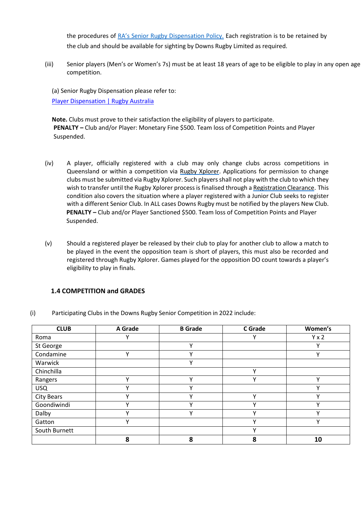the procedures of RA's Senior Rugby Dispensation Policy. Each registration is to be retained by the club and should be available for sighting by Downs Rugby Limited as required.

(iii) Senior players (Men's or Women's 7s) must be at least 18 years of age to be eligible to play in any open age competition.

(a) Senior Rugby Dispensation please refer to: Player Dispensation | Rugby Australia

**Note.** Clubs must prove to their satisfaction the eligibility of players to participate. **PENALTY –** Club and/or Player: Monetary Fine \$500. Team loss of Competition Points and Player Suspended.

- (iv) A player, officially registered with a club may only change clubs across competitions in Queensland or within a competition via Rugby Xplorer. Applications for permission to change clubs must be submitted via Rugby Xplorer. Such players shall not play with the club to which they wish to transfer until the Rugby Xplorer process is finalised through a Registration Clearance. This condition also covers the situation where a player registered with a Junior Club seeks to register with a different Senior Club. In ALL cases Downs Rugby must be notified by the players New Club. **PENALTY –** Club and/or Player Sanctioned \$500. Team loss of Competition Points and Player Suspended.
- (v) Should a registered player be released by their club to play for another club to allow a match to be played in the event the opposition team is short of players, this must also be recorded and registered through Rugby Xplorer. Games played for the opposition DO count towards a player's eligibility to play in finals.

## **1.4 COMPETITION and GRADES**

| <b>CLUB</b>       | <b>A</b> Grade | <b>B</b> Grade | <b>C</b> Grade | Women's      |
|-------------------|----------------|----------------|----------------|--------------|
| Roma              | ν              |                | v              | $Y \times 2$ |
| St George         |                | ٧              |                | v            |
| Condamine         | ν              | $\checkmark$   |                | $\mathbf v$  |
| Warwick           |                | Υ              |                |              |
| Chinchilla        |                |                | $\checkmark$   |              |
| Rangers           | $\checkmark$   | $\vee$         | $\checkmark$   | $\checkmark$ |
| <b>USQ</b>        | ν              | v              |                |              |
| <b>City Bears</b> | $\checkmark$   | $\checkmark$   | $\checkmark$   | $\mathbf v$  |
| Goondiwindi       | $\checkmark$   | $\mathsf{v}$   | $\checkmark$   | v            |
| Dalby             | v              | v              | $\checkmark$   | v            |
| Gatton            | $\checkmark$   |                | $\checkmark$   | $\checkmark$ |
| South Burnett     |                |                | $\checkmark$   |              |
|                   | 8              | 8              | 8              | 10           |

(i) Participating Clubs in the Downs Rugby Senior Competition in 2022 include: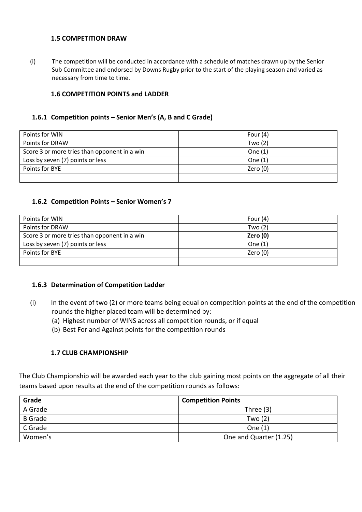## **1.5 COMPETITION DRAW**

(i) The competition will be conducted in accordance with a schedule of matches drawn up by the Senior Sub Committee and endorsed by Downs Rugby prior to the start of the playing season and varied as necessary from time to time.

## **1.6 COMPETITION POINTS and LADDER**

## **1.6.1 Competition points – Senior Men's (A, B and C Grade)**

| Points for WIN                               | Four $(4)$ |
|----------------------------------------------|------------|
| Points for DRAW                              | Two $(2)$  |
| Score 3 or more tries than opponent in a win | One $(1)$  |
| Loss by seven (7) points or less             | One $(1)$  |
| Points for BYE                               | Zero $(0)$ |
|                                              |            |

## **1.6.2 Competition Points – Senior Women's 7**

| Points for WIN                               | Four $(4)$ |
|----------------------------------------------|------------|
| Points for DRAW                              | Two $(2)$  |
| Score 3 or more tries than opponent in a win | Zero $(0)$ |
| Loss by seven (7) points or less             | One $(1)$  |
| Points for BYE                               | Zero (0)   |
|                                              |            |

## **1.6.3 Determination of Competition Ladder**

- (i) In the event of two (2) or more teams being equal on competition points at the end of the competition rounds the higher placed team will be determined by:
	- (a) Highest number of WINS across all competition rounds, or if equal
	- (b) Best For and Against points for the competition rounds

## **1.7 CLUB CHAMPIONSHIP**

The Club Championship will be awarded each year to the club gaining most points on the aggregate of all their teams based upon results at the end of the competition rounds as follows:

| Grade          | <b>Competition Points</b> |
|----------------|---------------------------|
| A Grade        | Three $(3)$               |
| <b>B</b> Grade | Two $(2)$                 |
| C Grade        | One $(1)$                 |
| Women's        | One and Quarter (1.25)    |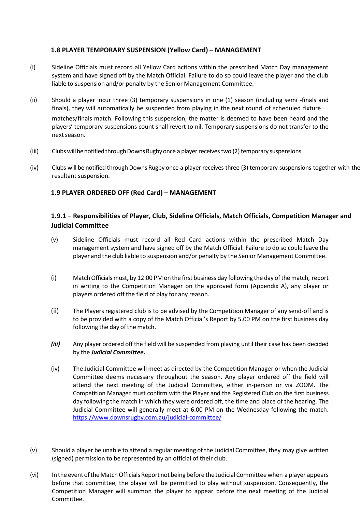## **1.8 PLAYER TEMPORARY SUSPENSION (Yellow Card) – MANAGEMENT**

- (i) Sideline Officials must record all Yellow Card actions within the prescribed Match Day management system and have signed off by the Match Official. Failure to do so could leave the player and the club liable to suspension and/or penalty by the Senior Management Committee.
- (ii) Should a player incur three (3) temporary suspensions in one (1) season (including semi -finals and finals), they will automatically be suspended from playing in the next round of scheduled fixture matches/finals match. Following this suspension, the matter is deemed to have been heard and the players' temporary suspensions count shall revert to nil. Temporary suspensions do not transfer to the next season.
- (iii) Clubs will be notified through Downs Rugby once a player receives two (2) temporary suspensions.
- (iv) Clubs will be notified through Downs Rugby once a player receives three (3) temporary suspensions together with the resultant suspension.

## **1.9 PLAYER ORDERED OFF (Red Card) – MANAGEMENT**

## **1.9.1 – Responsibilities of Player, Club, Sideline Officials, Match Officials, Competition Manager and Judicial Committee**

- (v) Sideline Officials must record all Red Card actions within the prescribed Match Day management system and have signed off by the Match Official. Failure to do so could leave the player and the club liable to suspension and/or penalty by the Senior Management Committee.
- (i) MatchOfficialsmust**,** by 12:00 PM on the first business day following the day ofthematch, report in writing to the Competition Manager on the approved form (Appendix A), any player or players ordered off the field of play for any reason.
- (ii) The Players registered club is to be advised by the Competition Manager of any send-off and is to be provided with a copy of the Match Official's Report by 5.00 PM on the first business day following the day of the match.
- *(iii)* Any player ordered off the field will be suspended from playing until their case has been decided by the *Judicial Committee.*
- (iv) The Judicial Committee will meet as directed by the Competition Manager or when the Judicial Committee deems necessary throughout the season. Any player ordered off the field will attend the next meeting of the Judicial Committee, either in-person or via ZOOM. The Competition Manager must confirm with the Player and the Registered Club on the first business day following the match in which they were ordered off, the time and place of the hearing. The Judicial Committee will generally meet at 6.00 PM on the Wednesday following the match. [https://ww](http://www.downsrugby.com.au/judicial-committee/)w.do[wnsrugby.com.au/judicial-committee/](http://www.downsrugby.com.au/judicial-committee/)
- (v) Should a player be unable to attend a regular meeting of the Judicial Committee, they may give written (signed) permission to be represented by an official of their club.
- (vi) In the event of the Match Officials Report not being before the Judicial Committee when a player appears before that committee, the player will be permitted to play without suspension. Consequently, the Competition Manager will summon the player to appear before the next meeting of the Judicial Committee.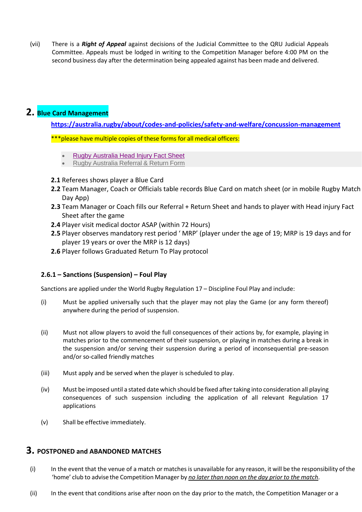(vii) There is a *Right of Appeal* against decisions of the Judicial Committee to the QRU Judicial Appeals Committee. Appeals must be lodged in writing to the Competition Manager before 4:00 PM on the second business day after the determination being appealed against has been made and delivered.

## **2. Blue Card Management**

**https://australia.rugby/about/codes-and-policies/safety-and-welfare/concussion-management**

\*\*\*please have multiple copies of these forms for all medical officers:

- Rugby Australia Head Injury Fact Sheet
- Rugby Australia Referral & Return Form
- **2.1** Referees shows player a Blue Card
- **2.2** Team Manager, Coach or Officials table records Blue Card on match sheet (or in mobile Rugby Match Day App)
- **2.3** Team Manager or Coach fills our Referral + Return Sheet and hands to player with Head injury Fact Sheet after the game
- **2.4** Player visit medical doctor ASAP (within 72 Hours)
- **2.5** Player observes mandatory rest period ' MRP' (player under the age of 19; MRP is 19 days and for player 19 years or over the MRP is 12 days)
- **2.6** Player follows Graduated Return To Play protocol

## **2.6.1 – Sanctions (Suspension) – Foul Play**

Sanctions are applied under the World Rugby Regulation 17 – Discipline Foul Play and include:

- (i) Must be applied universally such that the player may not play the Game (or any form thereof) anywhere during the period of suspension.
- (ii) Must not allow players to avoid the full consequences of their actions by, for example, playing in matches prior to the commencement of their suspension, or playing in matches during a break in the suspension and/or serving their suspension during a period of inconsequential pre-season and/or so-called friendly matches
- (iii) Must apply and be served when the player is scheduled to play.
- (iv) Must be imposed until a stated date which should be fixed after taking into consideration all playing consequences of such suspension including the application of all relevant Regulation 17 applications
- (v) Shall be effective immediately.

## **3. POSTPONED and ABANDONED MATCHES**

- (i) In the event that the venue of a match or matches is unavailable for any reason, it will be the responsibility ofthe 'home' club to advise the Competition Manager by *no later than noon on the day prior to the match*.
- (ii) In the event that conditions arise after noon on the day prior to the match, the Competition Manager or a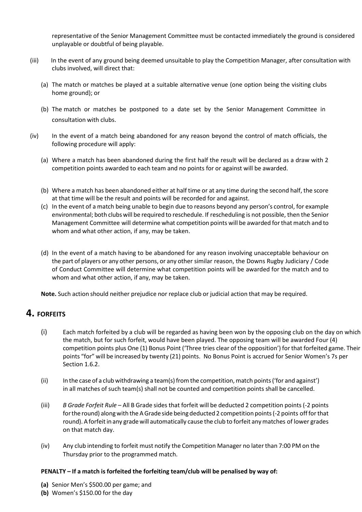representative of the Senior Management Committee must be contacted immediately the ground is considered unplayable or doubtful of being playable.

- (iii) In the event of any ground being deemed unsuitable to play the Competition Manager, after consultation with clubs involved, will direct that:
	- (a) The match or matches be played at a suitable alternative venue (one option being the visiting clubs home ground); or
	- (b) The match or matches be postponed to a date set by the Senior Management Committee in consultation with clubs.
- (iv) In the event of a match being abandoned for any reason beyond the control of match officials, the following procedure will apply:
	- (a) Where a match has been abandoned during the first half the result will be declared as a draw with 2 competition points awarded to each team and no points for or against will be awarded.
	- (b) Where a match has been abandoned either at half time or at any time during the second half, the score at that time will be the result and points will be recorded for and against.
	- (c) In the event of a match being unable to begin due to reasons beyond any person's control, for example environmental; both clubswill be required to reschedule. If rescheduling is not possible, then the Senior Management Committee will determine what competition points will be awarded forthat match and to whom and what other action, if any, may be taken.
	- (d) In the event of a match having to be abandoned for any reason involving unacceptable behaviour on the part of players or any other persons, or any other similar reason, the Downs Rugby Judiciary / Code of Conduct Committee will determine what competition points will be awarded for the match and to whom and what other action, if any, may be taken.

**Note.** Such action should neither prejudice nor replace club or judicial action that may be required.

## **4. FORFEITS**

- (i) Each match forfeited by a club will be regarded as having been won by the opposing club on the day on which the match, but for such forfeit, would have been played. The opposing team will be awarded Four (4) competition points plus One (1) Bonus Point ('Three tries clear of the opposition') forthat forfeited game. Their points "for" will be increased by twenty (21) points. No Bonus Point is accrued for Senior Women's 7s per Section 1.6.2.
- (ii) In the case of a club withdrawing a team(s) fromthe competition,match points('for and against') in all matches of such team(s) shall not be counted and competition points shall be cancelled.
- (iii) *B Grade Forfeit Rule* All B Grade sides that forfeit will be deducted 2 competition points (-2 points forthe round) alongwith the AGrade side being deducted 2 competition points(-2 points off forthat round). A forfeit in any grade will automatically cause the club to forfeit any matches of lower grades on that match day.
- (iv) Any club intending to forfeit must notify the Competition Manager no laterthan 7:00 PM on the Thursday prior to the programmed match.

## **PENALTY – If a match is forfeited the forfeiting team/club will be penalised by way of:**

- **(a)** Senior Men's \$500.00 per game; and
- **(b)** Women's \$150.00 for the day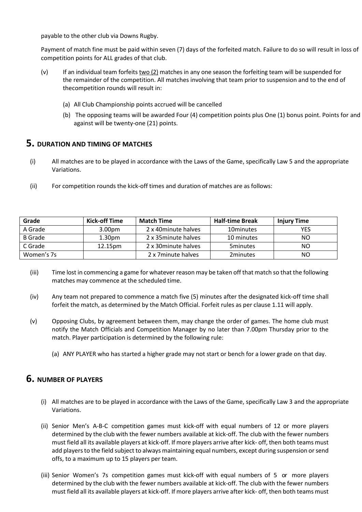payable to the other club via Downs Rugby.

Payment of match fine must be paid within seven (7) days of the forfeited match. Failure to do so will result in loss of competition points for ALL grades of that club.

- (v) If an individual team forfeits two (2) matches in any one season the forfeiting team will be suspended for the remainder of the competition. All matches involving that team prior to suspension and to the end of thecompetition rounds will result in:
	- (a) All Club Championship points accrued will be cancelled
	- (b) The opposing teams will be awarded Four (4) competition points plus One (1) bonus point. Points for and against will be twenty-one (21) points.

## **5. DURATION AND TIMING OF MATCHES**

- (i) All matches are to be played in accordance with the Laws of the Game, specifically Law 5 and the appropriate Variations.
- (ii) For competition rounds the kick-off times and duration of matches are as follows:

| Grade          | Kick-off Time      | <b>Match Time</b>    | <b>Half-time Break</b> | <b>Injury Time</b> |
|----------------|--------------------|----------------------|------------------------|--------------------|
| A Grade        | 3.00 <sub>pm</sub> | 2 x 40 minute halves | 10minutes              | YES                |
| <b>B</b> Grade | 1.30 <sub>pm</sub> | 2 x 35 minute halves | 10 minutes             | NO.                |
| C Grade        | 12.15pm            | 2 x 30 minute halves | <b>5minutes</b>        | NΟ                 |
| Women's 7s     |                    | 2 x 7 minute halves  | 2minutes               | NΟ                 |

- (iii) Time lost in commencing a game for whatever reason may be taken off that match so that the following matches may commence at the scheduled time.
- (iv) Any team not prepared to commence a match five (5) minutes after the designated kick-off time shall forfeit the match, as determined by the Match Official. Forfeit rules as per clause 1.11 will apply.
- (v) Opposing Clubs, by agreement between them, may change the order of games. The home club must notify the Match Officials and Competition Manager by no later than 7.00pm Thursday prior to the match. Player participation is determined by the following rule:
	- (a) ANY PLAYER who has started a higher grade may not start or bench for a lower grade on that day.

## **6. NUMBER OF PLAYERS**

- (i) All matches are to be played in accordance with the Laws of the Game, specifically Law 3 and the appropriate Variations.
- (ii) Senior Men's A-B-C competition games must kick-off with equal numbers of 12 or more players determined by the club with the fewer numbers available at kick-off. The club with the fewer numbers must field all its available players at kick-off. If more players arrive after kick- off, then both teams must add players to the field subject to always maintaining equal numbers, except during suspension or send offs, to a maximum up to 15 players per team.
- (iii) Senior Women's 7s competition games must kick-off with equal numbers of 5 or more players determined by the club with the fewer numbers available at kick-off. The club with the fewer numbers must field all its available players at kick-off. If more players arrive after kick- off, then both teams must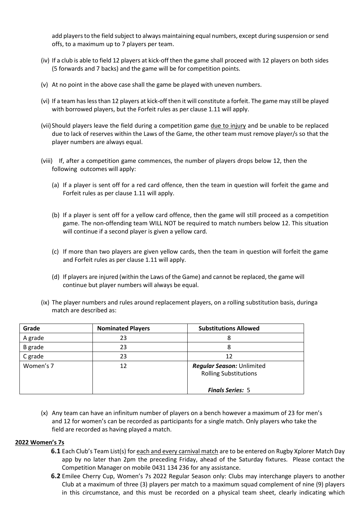add players to the field subject to always maintaining equal numbers, except during suspension or send offs, to a maximum up to 7 players per team.

- (iv) If a club is able to field 12 players at kick-off then the game shall proceed with 12 players on both sides (5 forwards and 7 backs) and the game will be for competition points.
- (v) At no point in the above case shall the game be played with uneven numbers.
- (vi) If a team haslessthan 12 players at kick-off then it will constitute a forfeit. The game may still be played with borrowed players, but the Forfeit rules as per clause 1.11 will apply.
- (vii) Should players leave the field during a competition game due to injury and be unable to be replaced due to lack of reserves within the Laws of the Game, the other team must remove player/s so that the player numbers are always equal.
- (viii) If, after a competition game commences, the number of players drops below 12, then the following outcomes will apply:
	- (a) If a player is sent off for a red card offence, then the team in question will forfeit the game and Forfeit rules as per clause 1.11 will apply.
	- (b) If a player is sent off for a yellow card offence, then the game will still proceed as a competition game. The non-offending team WILL NOT be required to match numbers below 12. This situation will continue if a second player is given a yellow card.
	- (c) If more than two players are given yellow cards, then the team in question will forfeit the game and Forfeit rules as per clause 1.11 will apply.
	- (d) If players are injured (within the Laws of the Game) and cannot be replaced, the game will continue but player numbers will always be equal.
- (ix) The player numbers and rules around replacement players, on a rolling substitution basis, duringa match are described as:

| Grade     | <b>Nominated Players</b> | <b>Substitutions Allowed</b>                              |
|-----------|--------------------------|-----------------------------------------------------------|
| A grade   | 23                       | 8                                                         |
| B grade   | 23                       |                                                           |
| C grade   | 23                       | 12                                                        |
| Women's 7 | 12                       | Regular Season: Unlimited<br><b>Rolling Substitutions</b> |
|           |                          | <b>Finals Series: 5</b>                                   |

(x) Any team can have an infinitum number of players on a bench however a maximum of 23 for men's and 12 for women's can be recorded as participants for a single match. Only players who take the field are recorded as having played a match.

## **2022 Women's 7s**

- **6.1** Each Club's Team List(s) for each and every carnival match are to be entered on Rugby Xplorer Match Day app by no later than 2pm the preceding Friday, ahead of the Saturday fixtures. Please contact the Competition Manager on mobile 0431 134 236 for any assistance.
- **6.2** Emilee Cherry Cup, Women's 7s 2022 Regular Season only: Clubs may interchange players to another Club at a maximum of three (3) players per match to a maximum squad complement of nine (9) players in this circumstance, and this must be recorded on a physical team sheet, clearly indicating which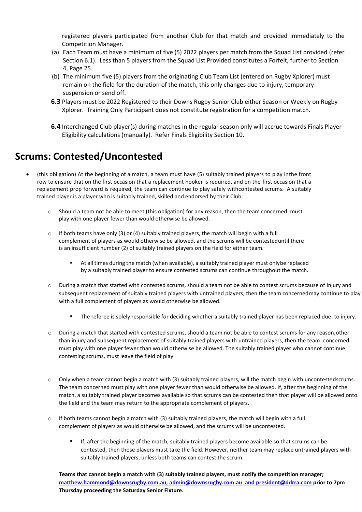registered players participated from another Club for that match and provided immediately to the Competition Manager.

- (a) Each Team must have a minimum of five (5) 2022 players per match from the Squad List provided (refer Section 6.1). Less than 5 players from the Squad List Provided constitutes a Forfeit, further to Section 4, Page 25.
- (b) The minimum five (5) players from the originating Club Team List (entered on Rugby Xplorer) must remain on the field for the duration of the match, this only changes due to injury, temporary suspension or send off.
- **6.3** Players must be 2022 Registered to their Downs Rugby Senior Club either Season or Weekly on Rugby Xplorer. Training Only Participant does not constitute registration for a competition match.
- **6.4** Interchanged Club player(s) during matches in the regular season only will accrue towards Finals Player Eligibility calculations (manually). Refer Finals Eligibility Section 10.

# **Scrums: Contested/Uncontested**

- (this obligation) At the beginning of a match, a team must have (5) suitably trained players to play inthe front row to ensure that on the first occasion that a replacement hooker is required, and on the first occasion that a replacement prop forward is required, the team can continue to play safely withcontested scrums. A suitably trained player is a player who is suitably trained, skilled and endorsed by their Club.
	- o Should a team not be able to meet (this obligation) for any reason, then the team concerned must play with one player fewer than would otherwise be allowed.
	- $\circ$  If both teams have only (3) or (4) suitably trained players, the match will begin with a full complement of players as would otherwise be allowed, and the scrums will be contesteduntil there is an insufficient number (2) of suitably trained players on the field for either team.
		- At all times during the match (when available), a suitably trained player must onlybe replaced by a suitably trained player to ensure contested scrums can continue throughout the match.
	- o During a match that started with contested scrums, should a team not be able to contest scrums because of injury and subsequent replacement of suitably trained players with untrained players, then the team concernedmay continue to play with a full complement of players as would otherwise be allowed.
		- **•** The referee is solely responsible for deciding whether a suitably trained player has been replaced due to injury.
	- o During a match that started with contested scrums, should a team not be able to contest scrums for any reason,other than injury and subsequent replacement of suitably trained players with untrained players, then the team concerned must play with one player fewer than would otherwise be allowed. The suitably trained player who cannot continue contesting scrums, must leave the field of play.
	- $\circ$  Only when a team cannot begin a match with (3) suitably trained players, will the match begin with uncontestedscrums. The team concerned must play with one player fewer than would otherwise be allowed. If, after the beginning of the match, a suitably trained player becomes available so that scrums can be contested then that player will be allowed onto the field and the team may return to the appropriate complement of players.
	- $\circ$  If both teams cannot begin a match with (3) suitably trained players, the match will begin with a full complement of players as would otherwise be allowed, and the scrums will be uncontested.
		- If, after the beginning of the match, suitably trained players become available so that scrums can be contested, then those players must take the field. However, neither team may replace untrained players with suitably trained players, unless both teams can contest the scrum.

**Teams that cannot begin a match with (3) suitably trained players, must notify the competition manager; [matthew.hammond@downsrugby.com.au,](mailto:matthew.hammond@downsrugby.com.au,) [admin@downsrugby.com.au](mailto:admin@downsrugby.com.au) and [president@ddrra.com](mailto:president@ddrra.com) prior to 7pm Thursday proceeding the Saturday Senior Fixture.**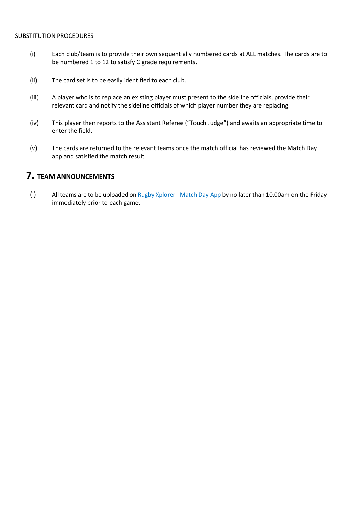#### SUBSTITUTION PROCEDURES

- (i) Each club/team is to provide their own sequentially numbered cards at ALL matches. The cards are to be numbered 1 to 12 to satisfy C grade requirements.
- (ii) The card set is to be easily identified to each club.
- (iii) A player who is to replace an existing player must present to the sideline officials, provide their relevant card and notify the sideline officials of which player number they are replacing.
- (iv) This player then reports to the Assistant Referee ("Touch Judge") and awaits an appropriate time to enter the field.
- (v) The cards are returned to the relevant teams once the match official has reviewed the Match Day app and satisfied the match result.

## **7. TEAM ANNOUNCEMENTS**

(i) All teams are to be uploaded on  $Rugby Xplorer - Match Day App$  by no later than 10.00am on the Friday immediately prior to each game.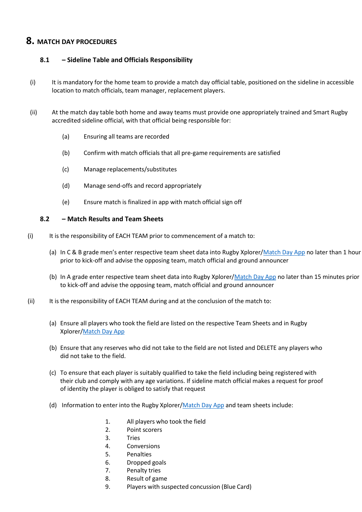## **8. MATCH DAY PROCEDURES**

## **8.1 – Sideline Table and Officials Responsibility**

- (i) It is mandatory for the home team to provide a match day official table, positioned on the sideline in accessible location to match officials, team manager, replacement players.
- (ii) At the match day table both home and away teams must provide one appropriately trained and Smart Rugby accredited sideline official, with that official being responsible for:
	- (a) Ensuring all teams are recorded
	- (b) Confirm with match officials that all pre-game requirements are satisfied
	- (c) Manage replacements/substitutes
	- (d) Manage send-offs and record appropriately
	- (e) Ensure match is finalized in app with match official sign off

## **8.2 – Match Results and Team Sheets**

- (i) It is the responsibility of EACH TEAM prior to commencement of a match to:
	- (a) In C & B grade men's enter respective team sheet data into Rugby Xplorer/Match Day App no later than 1 hour prior to kick-off and advise the opposing team, match official and ground announcer
	- (b) In A grade enter respective team sheet data into Rugby Xplorer/Match Day App no later than 15 minutes prior to kick-off and advise the opposing team, match official and ground announcer
- (ii) It is the responsibility of EACH TEAM during and at the conclusion of the match to:
	- (a) Ensure all players who took the field are listed on the respective Team Sheets and in Rugby Xplorer/Match Day App
	- (b) Ensure that any reserves who did not take to the field are not listed and DELETE any players who did not take to the field.
	- (c) To ensure that each player is suitably qualified to take the field including being registered with their club and comply with any age variations. If sideline match official makes a request for proof of identity the player is obliged to satisfy that request
	- (d) Information to enter into the Rugby Xplorer/Match Day App and team sheets include:
		- 1. All players who took the field
		- 2. Point scorers
		- 3. Tries
		- 4. Conversions
		- 5. Penalties
		- 6. Dropped goals
		- 7. Penalty tries
		- 8. Result of game
		- 9. Players with suspected concussion (Blue Card)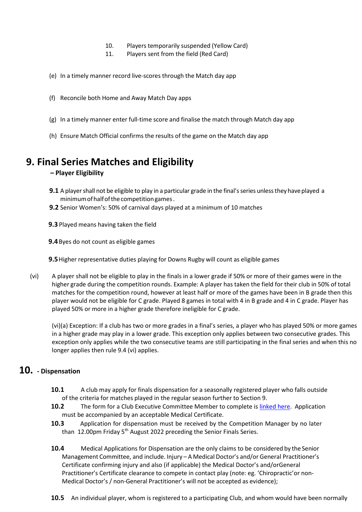- 10. Players temporarily suspended (Yellow Card)
- 11. Players sent from the field (Red Card)
- (e) In a timely manner record live-scores through the Match day app
- (f) Reconcile both Home and Away Match Day apps
- (g) In a timely manner enter full-time score and finalise the match through Match day app
- (h) Ensure Match Official confirms the results of the game on the Match day app

## **9. Final Series Matches and Eligibility**

## **– Player Eligibility**

- **9.1** A player shall not be eligible to play in a particular grade in the final's series unless they have played a minimumofhalfofthecompetitiongames.
- **9.2** Senior Women's: 50% of carnival days played at a minimum of 10 matches
- **9.3** Played means having taken the field
- **9.4**Byes do not count as eligible games
- **9.5**Higher representative duties playing for Downs Rugby will count as eligible games
- (vi) A player shall not be eligible to play in the finals in a lower grade if 50% or more of their games were in the higher grade during the competition rounds. Example: A player has taken the field for their club in 50% of total matches for the competition round, however at least half or more of the games have been in B grade then this player would not be eligible for C grade. Played 8 games in total with 4 in B grade and 4 in C grade. Player has played 50% or more in a higher grade therefore ineligible for C grade.

(vi)(a) Exception: If a club has two or more grades in a final's series, a player who has played 50% or more games in a higher grade may play in a lower grade. This exception only applies between two consecutive grades. This exception only applies while the two consecutive teams are still participating in the final series and when this no longer applies then rule 9.4 (vi) applies.

## **10. - Dispensation**

- **10.1** A club may apply for finals dispensation for a seasonally registered player who falls outside of the criteria for matches played in the regular season further to Section 9.
- **10.2** The form for a Club Executive Committee Member to complete is [linked here.](https://www.downsrugby.com.au/wp-content/uploads/2022/05/Senior-Eligibility-Dispensation-Requests.xlsx) Application must be accompanied by an acceptable Medical Certificate.
- **10.3** Application for dispensation must be received by the Competition Manager by no later than 12.00pm Friday 5<sup>th</sup> August 2022 preceding the Senior Finals Series.
- **10.4** Medical Applications for Dispensation are the only claims to be considered by the Senior Management Committee, and include. Injury – A Medical Doctor's and/or General Practitioner's Certificate confirming injury and also (if applicable) the Medical Doctor's and/orGeneral Practitioner's Certificate clearance to compete in contact play (note: eg. 'Chiropractic'or non-Medical Doctor's / non-General Practitioner's will not be accepted as evidence);
- **10.5** An individual player, whom is registered to a participating Club, and whom would have been normally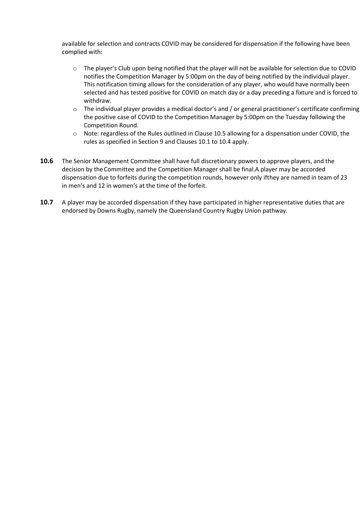available for selection and contracts COVID may be considered for dispensation if the following have been complied with:

- o The player's Club upon being notified that the player will not be available for selection due to COVID notifies the Competition Manager by 5:00pm on the day of being notified by the individual player. This notification timing allows for the consideration of any player, who would have normally been selected and has tested positive for COVID on match day or a day preceding a fixture and is forced to withdraw.
- $\circ$  The individual player provides a medical doctor's and / or general practitioner's certificate confirming the positive case of COVID to the Competition Manager by 5:00pm on the Tuesday following the Competition Round.
- o Note: regardless of the Rules outlined in Clause 10.5 allowing for a dispensation under COVID, the rules as specified in Section 9 and Clauses 10.1 to 10.4 apply.
- **10.6** The Senior Management Committee shall have full discretionary powers to approve players, and the decision by the Committee and the Competition Manager shall be final.A player may be accorded dispensation due to forfeits during the competition rounds, however only ifthey are named in team of 23 in men's and 12 in women's at the time of the forfeit.
- <span id="page-31-0"></span>**10.7** A player may be accorded dispensation if they have participated in higher representative duties that are endorsed by Downs Rugby, namely the Queensland Country Rugby Union pathway.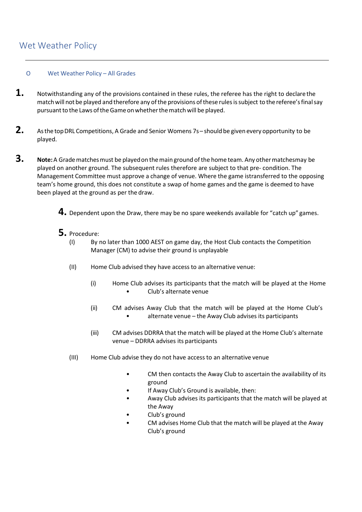## Wet Weather Policy

## O Wet Weather Policy – All Grades

- 1. Notwithstanding any of the provisions contained in these rules, the referee has the right to declare the match will not be played and therefore any of the provisions of these rules is subject to the referee's final say pursuant to the Laws of the Game on whether the match will be played.
- **2.** Asthe topDRL Competitions, <sup>A</sup> Grade and Senior Womens 7s– should be given every opportunity to be played.
- **3. Note:**<sup>A</sup> Gradematchesmust be playedon themain ground ofthe home team. Any othermatchesmay be played on another ground. The subsequent rules therefore are subject to that pre- condition. The Management Committee must approve a change of venue. Where the game istransferred to the opposing team's home ground, this does not constitute a swap of home games and the game is deemed to have been played at the ground as per the draw.
	- **4.** Dependent upon the Draw, there may be no spare weekends available for "catch up" games.
	- **5.** Procedure:<br>(1) By r
		- By no later than 1000 AEST on game day, the Host Club contacts the Competition Manager (CM) to advise their ground is unplayable
		- (II) Home Club advised they have access to an alternative venue:
			- (i) Home Club advises its participants that the match will be played at the Home • Club's alternate venue
			- (ii) CM advises Away Club that the match will be played at the Home Club's • alternate venue – the Away Club advises its participants
			- (iii) CM advises DDRRA that the match will be played at the Home Club's alternate venue – DDRRA advises its participants
		- (III) Home Club advise they do not have access to an alternative venue
			- CM then contacts the Away Club to ascertain the availability of its ground
			- If Away Club's Ground is available, then:
			- Away Club advises its participants that the match will be played at the Away
			- Club's ground
			- CM advises Home Club that the match will be played at the Away Club's ground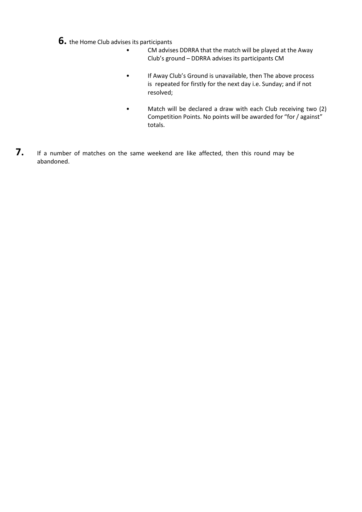**6.** the Home Club advises its participants

- CM advises DDRRA that the match will be played at the Away Club's ground – DDRRA advises its participants CM
- If Away Club's Ground is unavailable, then The above process is repeated for firstly for the next day i.e. Sunday; and if not resolved;
- Match will be declared a draw with each Club receiving two (2) Competition Points. No points will be awarded for "for/ against" totals.
- **7.** If <sup>a</sup> number of matches on the same weekend are like affected, then this round may be abandoned.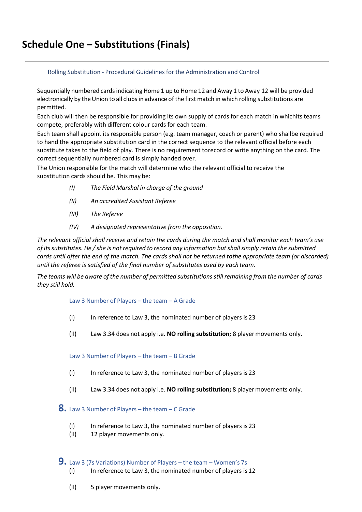## Rolling Substitution - Procedural Guidelines for the Administration and Control

Sequentially numbered cardsindicating Home 1 up to Home 12 and Away 1 to Away 12 will be provided electronically by the Union to all clubs in advance of the first match in which rolling substitutions are permitted.

Each club will then be responsible for providing its own supply of cards for each match in whichits teams compete, preferably with different colour cards for each team.

Each team shall appoint its responsible person (e.g. team manager, coach or parent) who shallbe required to hand the appropriate substitution card in the correct sequence to the relevant official before each substitute takes to the field of play. There is no requirement torecord or write anything on the card. The correct sequentially numbered card is simply handed over.

The Union responsible for the match will determine who the relevant official to receive the substitution cards should be. This may be:

- *(I) The Field Marshal in charge of the ground*
- *(II) An accredited Assistant Referee*
- *(III) The Referee*
- *(IV) A designated representative from the opposition.*

*The relevant official shall receive and retain the cards during the match and shall monitor each team's use of itssubstitutes. He /she is not required to record any information butshallsimply retain the submitted cards until after the end of the match. The cards shall not be returned tothe appropriate team (or discarded) until the referee is satisfied of the final number of substitutes used by each team.*

The teams will be aware of the number of permitted substitutions still remaining from the number of cards *they still hold.*

Law 3 Number of Players – the team – A Grade

- (I) In reference to Law 3, the nominated number of players is 23
- (II) Law 3.34 does not apply i.e. **NO rolling substitution;** 8 playermovements only.

Law 3 Number of Players – the team – B Grade

- (I) In reference to Law 3, the nominated number of players is 23
- (II) Law 3.34 does not apply i.e. **NO rolling substitution;** 8 playermovements only.

**8.** Law <sup>3</sup> Number of Players – the team – <sup>C</sup> Grade

- (I) In reference to Law 3, the nominated number of players is 23
- (II) 12 player movements only.

## **9.** Law <sup>3</sup> (7s Variations) Number of Players – the team – Women's 7s

- (I) In reference to Law 3, the nominated number of players is 12
- (II) 5 playermovements only.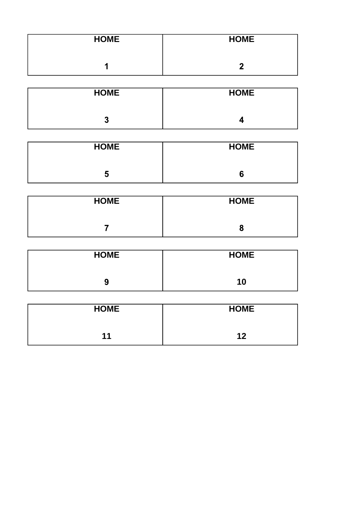| <b>HOME</b> | <b>HOME</b> |
|-------------|-------------|
|             |             |

| <b>HOME</b> | <b>HOME</b> |
|-------------|-------------|
| G<br>w      |             |

| <b>HOME</b> | <b>HOME</b> |
|-------------|-------------|
| . .<br>N    |             |

| <b>HOME</b> | <b>HOME</b> |
|-------------|-------------|
|             |             |

| <b>HOME</b>              | <b>HOME</b> |
|--------------------------|-------------|
| $\overline{\phantom{a}}$ |             |

| <b>HOME</b> | <b>HOME</b> |
|-------------|-------------|
| 11          | 12          |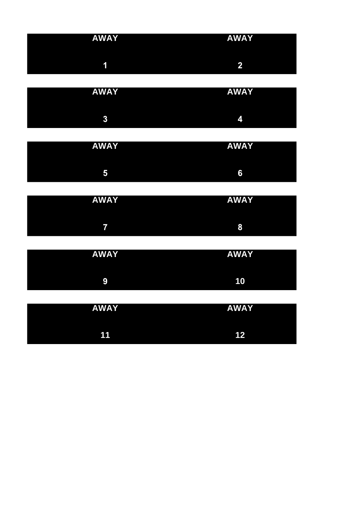| <b>AWAY</b> | <b>AWAY</b><br><u>the contract of the contract of the contract of the contract of the contract of the contract of the contract of the contract of the contract of the contract of the contract of the contract of the contract of the contract </u> |
|-------------|-----------------------------------------------------------------------------------------------------------------------------------------------------------------------------------------------------------------------------------------------------|
| в.          | ☞                                                                                                                                                                                                                                                   |

| <b>AWAY</b> | <b>AWAY</b> |
|-------------|-------------|
| 2<br>₩.     | ₹.          |

| <b>AWAY</b>    | <b>AWA</b><br>$\mathbf v$<br>ш |
|----------------|--------------------------------|
| I<br>L.<br>гJ. | 6                              |

| <b>AWAY</b> | <b>AWAY</b> |
|-------------|-------------|
|             |             |
|             | 8           |

| <b>AWAY</b> | <b>AWAY</b> |
|-------------|-------------|
| 9           | 10          |

| <b>AWAY</b> | <b>AWAY</b> |
|-------------|-------------|
|             |             |
| 44          | イク          |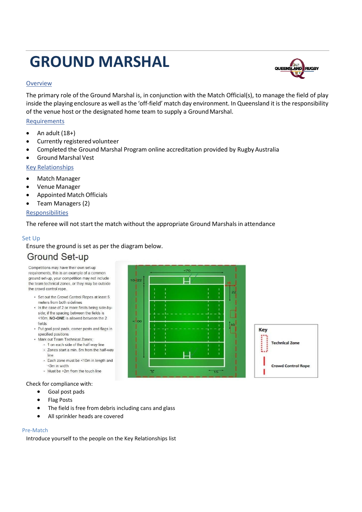# <span id="page-37-0"></span>**GROUND MARSHAL**

## **Overview**

The primary role of the Ground Marshal is, in conjunction with the Match Official(s), to manage the field of play inside the playing enclosure as well asthe 'off-field' match day environment. In Queensland it is the responsibility of the venue host or the designated home team to supply a GroundMarshal.

## **Requirements**

- An adult  $(18+)$
- Currently registered volunteer
- Completed the Ground Marshal Program online accreditation provided by Rugby Australia
- Ground Marshal Vest

## Key Relationships

- Match Manager
- Venue Manager
- Appointed Match Officials
- Team Managers (2)

## **Responsibilities**

The referee will not start the match without the appropriate Ground Marshals in attendance

## Set Up

Ensure the ground is set as per the diagram below.

## **Ground Set-up**

Competitions may have their own set-up requirements, this is an example of a common ground set-up, your competition may not include the team technical zones, or they may be outside the crowd control rope.

- Set out the Crowd Control Ropes at least 5 meters from both sidelines
- . In the case of 2 or more fields being side-byside; if the spacing between the fields is <10m, NO-ONE is allowed between the 2 fields
- Put goal post pads, corner posts and flags in specified positions
- Mark out Team Technical Zones;
	- . 1 on each side of the half-way line
	- . Zones start a min. 5m from the half-way line
	- · Each zone must be <10m in length and <3m in width
	- · Must be >2m from the touch line

## Check for compliance with:

- Goal post pads
- Flag Posts
- The field is free from debris including cans and glass
- All sprinkler heads are covered

#### Pre-Match

Introduce yourself to the people on the Key Relationships list





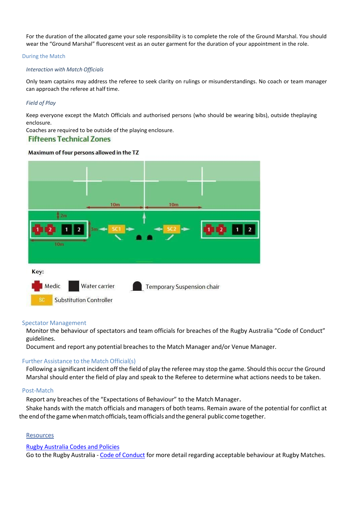For the duration of the allocated game your sole responsibility is to complete the role of the Ground Marshal. You should wear the "Ground Marshal" fluorescent vest as an outer garment for the duration of your appointment in the role.

#### During the Match

#### *Interaction with Match Officials*

Only team captains may address the referee to seek clarity on rulings or misunderstandings. No coach or team manager can approach the referee at half time.

#### *Field of Play*

Keep everyone except the Match Officials and authorised persons (who should be wearing bibs), outside theplaying enclosure.

Coaches are required to be outside of the playing enclosure.

## **Fifteens Technical Zones**

#### Maximum of four persons allowed in the TZ



#### Spectator Management

Monitor the behaviour of spectators and team officials for breaches of the Rugby Australia "Code of Conduct" guidelines.

Document and report any potential breaches to the Match Manager and/or Venue Manager.

#### Further Assistance to the Match Official(s)

Following a significant incident off the field of play the referee may stop the game. Should this occur the Ground Marshal should enter the field of play and speak to the Referee to determine what actions needs to be taken.

#### Post-Match

Report any breaches of the "Expectations of Behaviour" to the Match Manager.

Shake hands with the match officials and managers of both teams. Remain aware of the potential for conflict at the end of the game when match officials, team officials and the general public come together.

#### **Resources**

#### Rugby Australia Codes and Policies

Go to the Rugby Australia - Code of Conduct for more detail regarding acceptable behaviour at Rugby Matches.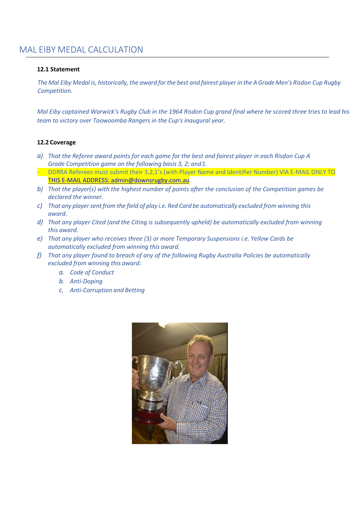## <span id="page-39-0"></span>MAL EIBY MEDAL CALCULATION

## **12.1 Statement**

The Mal Eiby Medal is, historically, the award for the best and fairest player in the A Grade Men's Risdon Cup Rugby *Competition.*

*Mal Eiby captained Warwick's Rugby Club in the 1964 Risdon Cup grand final where he scored three tries to lead his team to victory over Toowoomba Rangers in the Cup's inaugural year.*

## **12.2 Coverage**

- *a) That the Referee award points for each game for the best and fairest player in each Risdon Cup A Grade Competition game on the following basis 3, 2; and1.*
- DDRRA Referees must submit their 3,2,1's (with Player Name and Identifier Number) VIA E-MAIL ONLY TO THIS E-MAIL ADDRESS: [admin@downsrugby.com.au](mailto:THIS%20E-MAIL%20ADDRESS:%20admin@downsrugby.com.au)
- *b) That the player(s) with the highest number of points after the conclusion of the Competition games be declared the winner.*
- *c) That any playersentfrom the field of play i.e. Red Card be automatically excluded from winning this award.*
- *d) That any player Cited (and the Citing is subsequently upheld) be automatically excluded from winning this award.*
- *e) That any player who receives three (3) or more Temporary Suspensions i.e. Yellow Cards be automatically excluded from winning this award.*
- *f) That any player found to breach of any of the following Rugby Australia Policies be automatically excluded from winning this award:*
	- *a. Code of Conduct*
	- *b. Anti-Doping*
	- *c. Anti-Corruption and Betting*

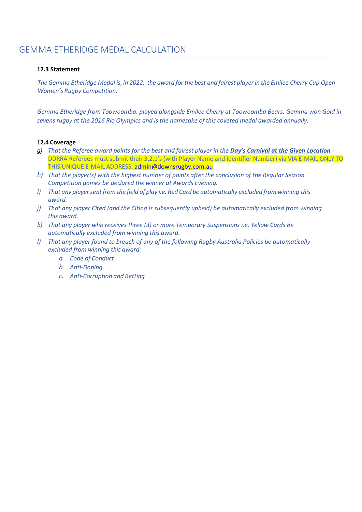## <span id="page-40-0"></span>**12.3 Statement**

The Gemma Etheridge Medal is, in 2022, the award for the best and fairest player in the Emilee Cherry Cup Open *Women's Rugby Competition.*

*Gemma Etheridge from Toowoomba, played alongside Emilee Cherry at Toowoomba Bears. Gemma won Gold in sevens rugby at the 2016 Rio Olympics and is the namesake of this coveted medal awarded annually.*

## **12.4 Coverage**

- *g) That the Referee award points for the best and fairest player in the Day's Carnival at the Given Location*  DDRRA Referees must submit their 3,2,1's (with Player Name and Identifier Number) via VIA E-MAIL ONLY TO THIS UNIQUE E-MAIL ADDRESS: [admin@downsrugby.com.au](mailto:admin@downsrugby.com.au)
- *h) That the player(s) with the highest number of points after the conclusion of the Regular Season Competition games be declared the winner at Awards Evening.*
- *i*) That any player sent from the field of play *i.e.* Red Card be automatically excluded from winning this *award.*
- *j) That any player Cited (and the Citing is subsequently upheld) be automatically excluded from winning this award.*
- *k) That any player who receives three (3) or more Temporary Suspensions i.e. Yellow Cards be automatically excluded from winning this award.*
- *l) That any player found to breach of any of the following Rugby Australia Policies be automatically excluded from winning this award:*
	- *a. Code of Conduct*
	- *b. Anti-Doping*
	- *c. Anti-Corruption and Betting*